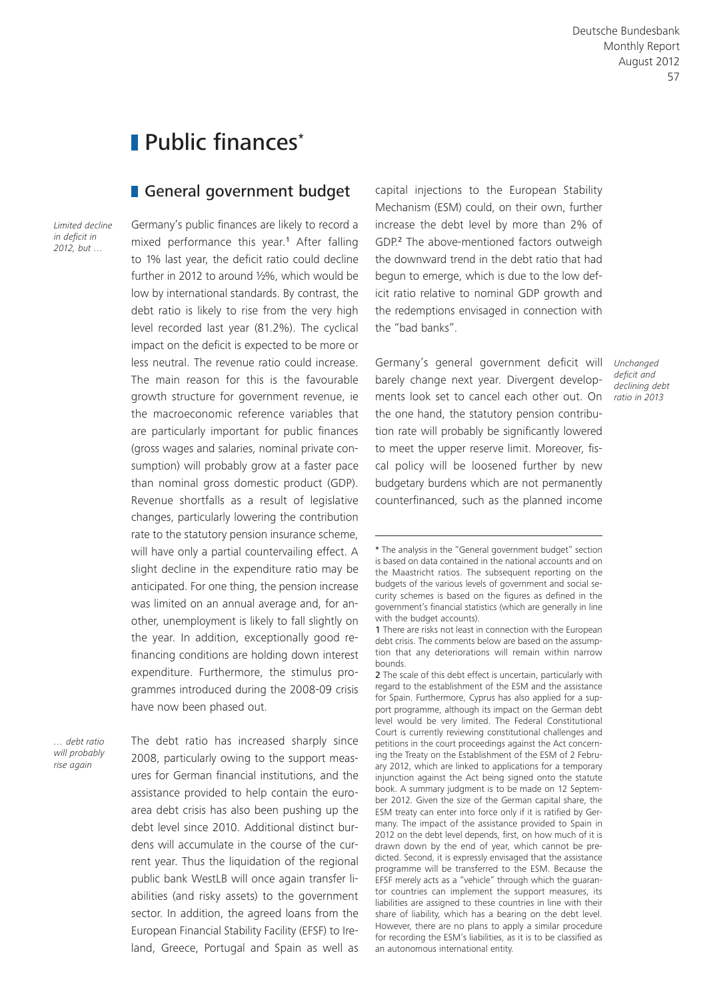# Public finances\*

### General government budget

*Limited decline in deficit in 2012, but …*

Germany's public finances are likely to record a mixed performance this year.<sup>1</sup> After falling to 1% last year, the deficit ratio could decline further in 2012 to around ½%, which would be low by international standards. By contrast, the debt ratio is likely to rise from the very high level recorded last year (81.2%). The cyclical impact on the deficit is expected to be more or less neutral. The revenue ratio could increase. The main reason for this is the favourable growth structure for government revenue, ie the macroeconomic reference variables that are particularly important for public finances (gross wages and salaries, nominal private consumption) will probably grow at a faster pace than nominal gross domestic product (GDP). Revenue shortfalls as a result of legislative changes, particularly lowering the contribution rate to the statutory pension insurance scheme, will have only a partial countervailing effect. A slight decline in the expenditure ratio may be anticipated. For one thing, the pension increase was limited on an annual average and, for another, unemployment is likely to fall slightly on the year. In addition, exceptionally good refinancing conditions are holding down interest expenditure. Furthermore, the stimulus programmes introduced during the 2008-09 crisis have now been phased out.

*… debt ratio will probably rise again*

The debt ratio has increased sharply since 2008, particularly owing to the support measures for German financial institutions, and the assistance provided to help contain the euroarea debt crisis has also been pushing up the debt level since 2010. Additional distinct burdens will accumulate in the course of the current year. Thus the liquidation of the regional public bank WestLB will once again transfer liabilities (and risky assets) to the government sector. In addition, the agreed loans from the European Financial Stability Facility (EFSF) to Ireland, Greece, Portugal and Spain as well as

capital injections to the European Stability Mechanism (ESM) could, on their own, further increase the debt level by more than 2% of GDP.2 The above-mentioned factors outweigh the downward trend in the debt ratio that had begun to emerge, which is due to the low deficit ratio relative to nominal GDP growth and the redemptions envisaged in connection with the "bad banks".

Germany's general government deficit will *Unchanged*  barely change next year. Divergent developments look set to cancel each other out. On the one hand, the statutory pension contribution rate will probably be significantly lowered to meet the upper reserve limit. Moreover, fiscal policy will be loosened further by new budgetary burdens which are not permanently counterfinanced, such as the planned income

*deficit and declining debt ratio in 2013*

<sup>\*</sup> The analysis in the "General government budget" section is based on data contained in the national accounts and on the Maastricht ratios. The subsequent reporting on the budgets of the various levels of government and social security schemes is based on the figures as defined in the government's financial statistics (which are generally in line with the budget accounts).

<sup>1</sup> There are risks not least in connection with the European debt crisis. The comments below are based on the assumption that any deteriorations will remain within narrow bounds.

<sup>2</sup> The scale of this debt effect is uncertain, particularly with regard to the establishment of the ESM and the assistance for Spain. Furthermore, Cyprus has also applied for a support programme, although its impact on the German debt level would be very limited. The Federal Constitutional Court is currently reviewing constitutional challenges and petitions in the court proceedings against the Act concerning the Treaty on the Establishment of the ESM of 2 February 2012, which are linked to applications for a temporary injunction against the Act being signed onto the statute book. A summary judgment is to be made on 12 September 2012. Given the size of the German capital share, the ESM treaty can enter into force only if it is ratified by Germany. The impact of the assistance provided to Spain in 2012 on the debt level depends, first, on how much of it is drawn down by the end of year, which cannot be predicted. Second, it is expressly envisaged that the assistance programme will be transferred to the ESM. Because the EFSF merely acts as a "vehicle" through which the guarantor countries can implement the support measures, its liabilities are assigned to these countries in line with their share of liability, which has a bearing on the debt level. However, there are no plans to apply a similar procedure for recording the ESM's liabilities, as it is to be classified as an autonomous international entity.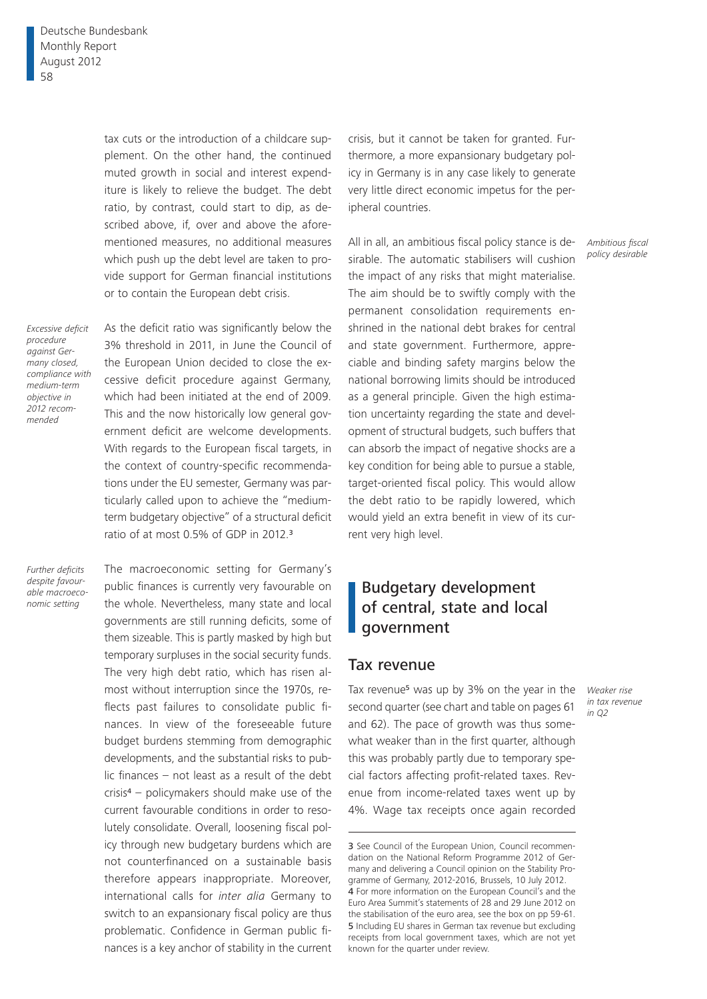tax cuts or the introduction of a childcare supplement. On the other hand, the continued muted growth in social and interest expenditure is likely to relieve the budget. The debt ratio, by contrast, could start to dip, as described above, if, over and above the aforementioned measures, no additional measures which push up the debt level are taken to provide support for German financial institutions or to contain the European debt crisis.

*Excessive deficit procedure against Germany closed, compliance with medium-term objective in 2012 recommended*

As the deficit ratio was significantly below the 3% threshold in 2011, in June the Council of the European Union decided to close the excessive deficit procedure against Germany, which had been initiated at the end of 2009. This and the now historically low general government deficit are welcome developments. With regards to the European fiscal targets, in the context of country-specific recommendations under the EU semester, Germany was particularly called upon to achieve the "mediumterm budgetary objective" of a structural deficit ratio of at most 0.5% of GDP in 2012.<sup>3</sup>

*Further deficits despite favourable macroeconomic setting*

The macroeconomic setting for Germany's public finances is currently very favourable on the whole. Nevertheless, many state and local governments are still running deficits, some of them sizeable. This is partly masked by high but temporary surpluses in the social security funds. The very high debt ratio, which has risen almost without interruption since the 1970s, reflects past failures to consolidate public finances. In view of the foreseeable future budget burdens stemming from demographic developments, and the substantial risks to public finances – not least as a result of the debt  $crisis<sup>4</sup> - policy makers should make use of the$ current favourable conditions in order to resolutely consolidate. Overall, loosening fiscal policy through new budgetary burdens which are not counterfinanced on a sustainable basis therefore appears inappropriate. Moreover, international calls for *inter alia* Germany to switch to an expansionary fiscal policy are thus problematic. Confidence in German public finances is a key anchor of stability in the current crisis, but it cannot be taken for granted. Furthermore, a more expansionary budgetary policy in Germany is in any case likely to generate very little direct economic impetus for the peripheral countries.

All in all, an ambitious fiscal policy stance is desirable. The automatic stabilisers will cushion the impact of any risks that might materialise. The aim should be to swiftly comply with the permanent consolidation requirements enshrined in the national debt brakes for central and state government. Furthermore, appreciable and binding safety margins below the national borrowing limits should be introduced as a general principle. Given the high estimation uncertainty regarding the state and development of structural budgets, such buffers that can absorb the impact of negative shocks are a key condition for being able to pursue a stable, target-oriented fiscal policy. This would allow the debt ratio to be rapidly lowered, which would yield an extra benefit in view of its current very high level.

# Budgetary development of central, state and local government

### Tax revenue

Tax revenue<sup>5</sup> was up by 3% on the year in the second quarter (see chart and table on pages 61 and 62). The pace of growth was thus somewhat weaker than in the first quarter, although this was probably partly due to temporary special factors affecting profit-related taxes. Revenue from income-related taxes went up by 4%. Wage tax receipts once again recorded

*Weaker rise in tax revenue in Q2*

*Ambitious fiscal policy desirable*

<sup>3</sup> See Council of the European Union, Council recommendation on the National Reform Programme 2012 of Germany and delivering a Council opinion on the Stability Programme of Germany, 2012-2016, Brussels, 10 July 2012. 4 For more information on the European Council's and the Euro Area Summit's statements of 28 and 29 June 2012 on the stabilisation of the euro area, see the box on pp 59-61. 5 Including EU shares in German tax revenue but excluding receipts from local government taxes, which are not yet known for the quarter under review.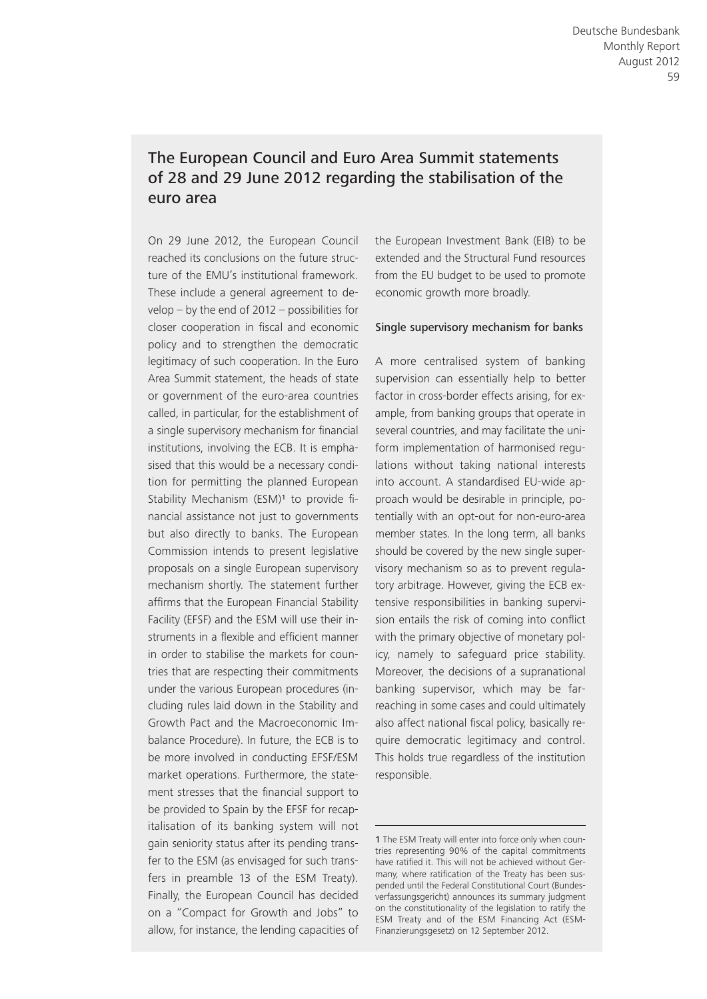# The European Council and Euro Area Summit statements of 28 and 29 June 2012 regarding the stabilisation of the euro area

On 29 June 2012, the European Council reached its conclusions on the future structure of the EMU's institutional framework. These include a general agreement to develop – by the end of 2012 – possibilities for closer cooperation in fiscal and economic policy and to strengthen the democratic legitimacy of such cooperation. In the Euro Area Summit statement, the heads of state or government of the euro-area countries called, in particular, for the establishment of a single supervisory mechanism for financial institutions, involving the ECB. It is emphasised that this would be a necessary condition for permitting the planned European Stability Mechanism (ESM)<sup>1</sup> to provide financial assistance not just to governments but also directly to banks. The European Commission intends to present legislative proposals on a single European supervisory mechanism shortly. The statement further affirms that the European Financial Stability Facility (EFSF) and the ESM will use their instruments in a flexible and efficient manner in order to stabilise the markets for countries that are respecting their commitments under the various European procedures (including rules laid down in the Stability and Growth Pact and the Macroeconomic Imbalance Procedure). In future, the ECB is to be more involved in conducting EFSF/ESM market operations. Furthermore, the statement stresses that the financial support to be provided to Spain by the EFSF for recapitalisation of its banking system will not gain seniority status after its pending transfer to the ESM (as envisaged for such transfers in preamble 13 of the ESM Treaty). Finally, the European Council has decided on a "Compact for Growth and Jobs" to allow, for instance, the lending capacities of

the European Investment Bank (EIB) to be extended and the Structural Fund resources from the EU budget to be used to promote economic growth more broadly.

#### Single supervisory mechanism for banks

A more centralised system of banking supervision can essentially help to better factor in cross-border effects arising, for example, from banking groups that operate in several countries, and may facilitate the uniform implementation of harmonised regulations without taking national interests into account. A standardised EU-wide approach would be desirable in principle, potentially with an opt-out for non-euro-area member states. In the long term, all banks should be covered by the new single supervisory mechanism so as to prevent regulatory arbitrage. However, giving the ECB extensive responsibilities in banking supervision entails the risk of coming into conflict with the primary objective of monetary policy, namely to safeguard price stability. Moreover, the decisions of a supranational banking supervisor, which may be farreaching in some cases and could ultimately also affect national fiscal policy, basically require democratic legitimacy and control. This holds true regardless of the institution responsible.

<sup>1</sup> The ESM Treaty will enter into force only when countries representing 90% of the capital commitments have ratified it. This will not be achieved without Germany, where ratification of the Treaty has been suspended until the Federal Constitutional Court (Bundesverfassungsgericht) announces its summary judgment on the constitutionality of the legislation to ratify the ESM Treaty and of the ESM Financing Act (ESM-Finanzierungsgesetz) on 12 September 2012.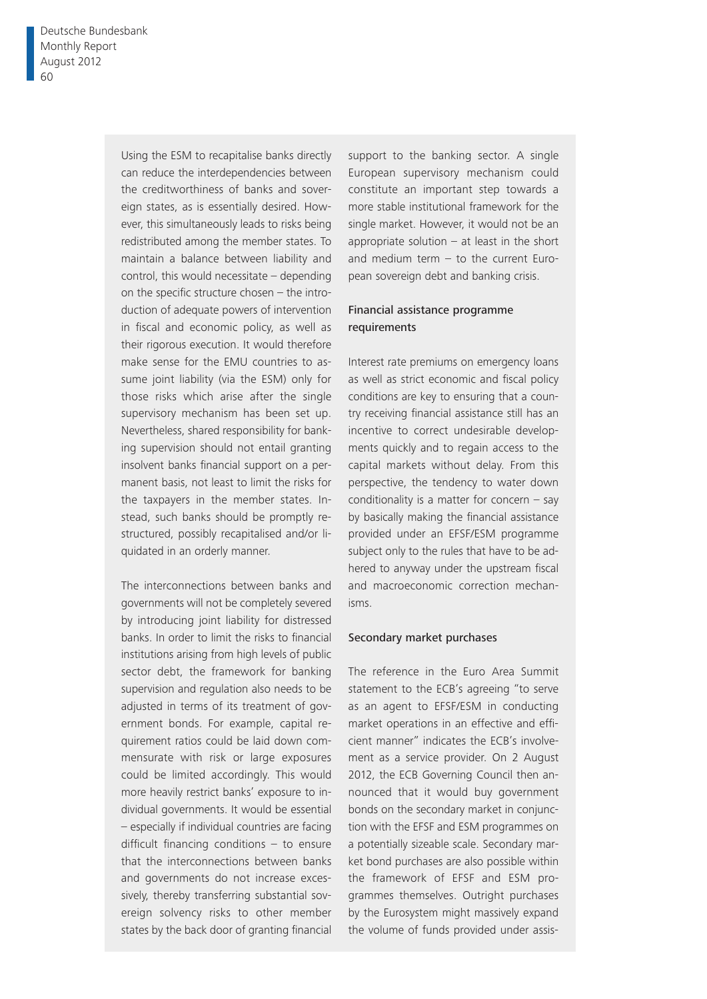Using the ESM to recapitalise banks directly can reduce the interdependencies between the creditworthiness of banks and sovereign states, as is essentially desired. However, this simultaneously leads to risks being redistributed among the member states. To maintain a balance between liability and control, this would necessitate – depending on the specific structure chosen  $-$  the introduction of adequate powers of intervention in fiscal and economic policy, as well as their rigorous execution. It would therefore make sense for the EMU countries to assume joint liability (via the ESM) only for those risks which arise after the single supervisory mechanism has been set up. Nevertheless, shared responsibility for banking supervision should not entail granting insolvent banks financial support on a permanent basis, not least to limit the risks for the taxpayers in the member states. Instead, such banks should be promptly restructured, possibly recapitalised and/or liquidated in an orderly manner.

The interconnections between banks and governments will not be completely severed by introducing joint liability for distressed banks. In order to limit the risks to financial institutions arising from high levels of public sector debt, the framework for banking supervision and regulation also needs to be adjusted in terms of its treatment of government bonds. For example, capital requirement ratios could be laid down commensurate with risk or large exposures could be limited accordingly. This would more heavily restrict banks' exposure to individual governments. It would be essential – especially if individual countries are facing difficult financing conditions  $-$  to ensure that the interconnections between banks and governments do not increase excessively, thereby transferring substantial sovereign solvency risks to other member states by the back door of granting financial

support to the banking sector. A single European supervisory mechanism could constitute an important step towards a more stable institutional framework for the single market. However, it would not be an appropriate solution  $-$  at least in the short and medium term  $-$  to the current European sovereign debt and banking crisis.

#### Financial assistance programme requirements

Interest rate premiums on emergency loans as well as strict economic and fiscal policy conditions are key to ensuring that a country receiving financial assistance still has an incentive to correct undesirable developments quickly and to regain access to the capital markets without delay. From this perspective, the tendency to water down conditionality is a matter for concern  $-$  say by basically making the financial assistance provided under an EFSF/ESM programme subject only to the rules that have to be adhered to anyway under the upstream fiscal and macroeconomic correction mechanisms.

#### Secondary market purchases

The reference in the Euro Area Summit statement to the ECB's agreeing "to serve as an agent to EFSF/ESM in conducting market operations in an effective and efficient manner" indicates the ECB's involvement as a service provider. On 2 August 2012, the ECB Governing Council then announced that it would buy government bonds on the secondary market in conjunction with the EFSF and ESM programmes on a potentially sizeable scale. Secondary market bond purchases are also possible within the framework of EFSF and ESM programmes themselves. Outright purchases by the Eurosystem might massively expand the volume of funds provided under assis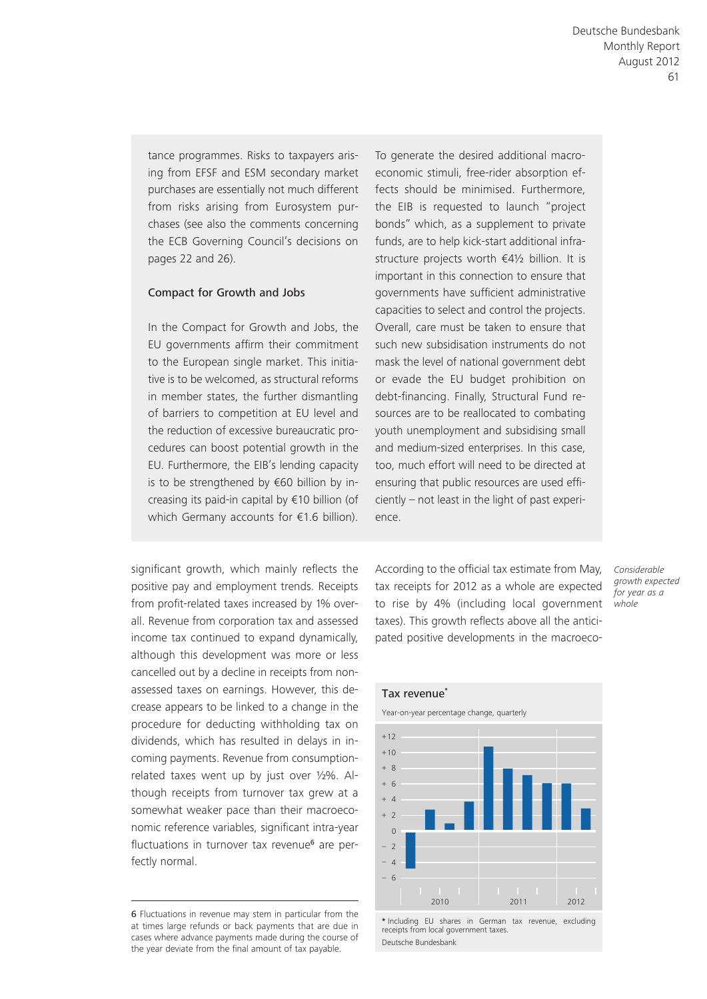tance programmes. Risks to taxpayers arising from EFSF and ESM secondary market purchases are essentially not much different from risks arising from Eurosystem purchases (see also the comments concerning the ECB Governing Council's decisions on pages 22 and 26).

#### Compact for Growth and Jobs

In the Compact for Growth and Jobs, the EU governments affirm their commitment to the European single market. This initiative is to be welcomed, as structural reforms in member states, the further dismantling of barriers to competition at EU level and the reduction of excessive bureaucratic procedures can boost potential growth in the EU. Furthermore, the EIB's lending capacity is to be strengthened by €60 billion by increasing its paid-in capital by €10 billion (of which Germany accounts for €1.6 billion).

significant growth, which mainly reflects the positive pay and employment trends. Receipts from profit-related taxes increased by 1% overall. Revenue from corporation tax and assessed income tax continued to expand dynamically, although this development was more or less cancelled out by a decline in receipts from nonassessed taxes on earnings. However, this decrease appears to be linked to a change in the procedure for deducting withholding tax on dividends, which has resulted in delays in incoming payments. Revenue from consumptionrelated taxes went up by just over ½%. Although receipts from turnover tax grew at a somewhat weaker pace than their macroeconomic reference variables, significant intra-year fluctuations in turnover tax revenue<sup>6</sup> are perfectly normal.

To generate the desired additional macroeconomic stimuli, free-rider absorption effects should be minimised. Furthermore, the EIB is requested to launch "project bonds" which, as a supplement to private funds, are to help kick-start additional infrastructure projects worth €4½ billion. It is important in this connection to ensure that governments have sufficient administrative capacities to select and control the projects. Overall, care must be taken to ensure that such new subsidisation instruments do not mask the level of national government debt or evade the EU budget prohibition on debt-financing. Finally, Structural Fund resources are to be reallocated to combating youth unemployment and subsidising small and medium-sized enterprises. In this case, too, much effort will need to be directed at ensuring that public resources are used efficiently – not least in the light of past experience.

According to the official tax estimate from May, tax receipts for 2012 as a whole are expected to rise by 4% (including local government *whole* taxes). This growth reflects above all the anticipated positive developments in the macroeco-





**\*** Including EU shares in German tax revenue, excluding receipts from local government taxes. Deutsche Bundesbank

<sup>6</sup> Fluctuations in revenue may stem in particular from the at times large refunds or back payments that are due in cases where advance payments made during the course of the year deviate from the final amount of tax payable.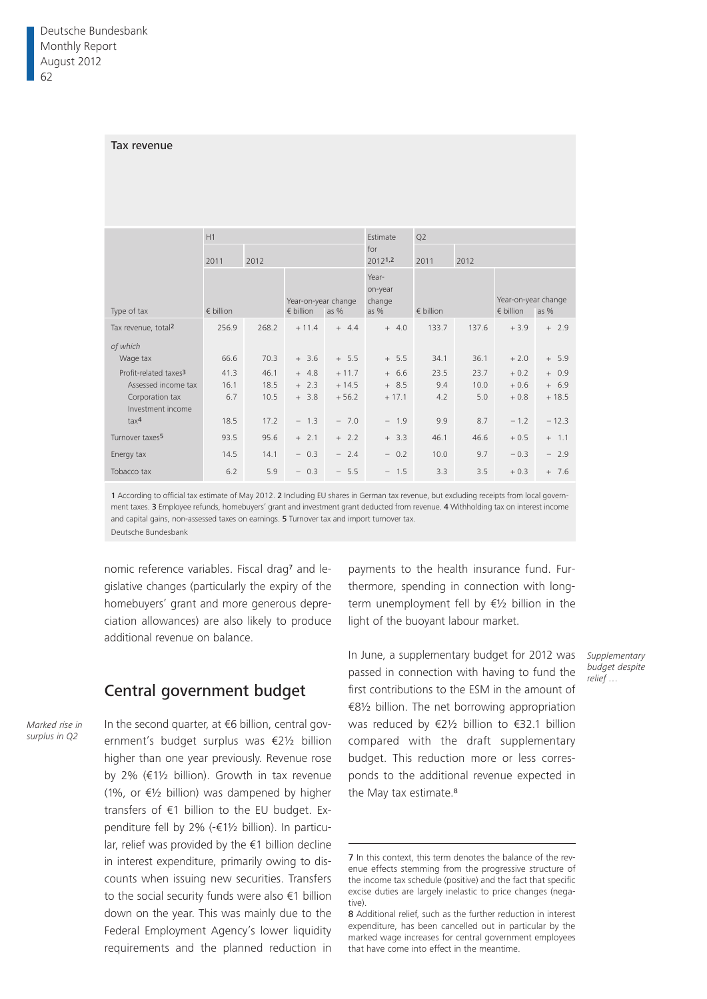#### Tax revenue

|                                      | H1                 |       |                    |                     | Estimate     | Q2                             |       |                     |         |
|--------------------------------------|--------------------|-------|--------------------|---------------------|--------------|--------------------------------|-------|---------------------|---------|
|                                      | 2011               | 2012  |                    |                     |              | for<br>20121,2<br>2012<br>2011 |       |                     |         |
|                                      |                    |       |                    | Year-on-year change |              |                                |       | Year-on-year change |         |
| Type of tax                          | $\epsilon$ billion |       | $\epsilon$ billion | as %                | as $%$       | $\epsilon$ billion             |       | $\epsilon$ billion  | as $%$  |
| Tax revenue, total <sup>2</sup>      | 256.9              | 268.2 | $+11.4$            | $+ 4.4$             | $+ 4.0$      | 133.7                          | 137.6 | $+3.9$              | $+2.9$  |
| of which                             |                    |       |                    |                     |              |                                |       |                     |         |
| Wage tax                             | 66.6               | 70.3  | $+ 3.6$            | $+ 5.5$             | $+ 5.5$      | 34.1                           | 36.1  | $+2.0$              | $+ 5.9$ |
| Profit-related taxes <sup>3</sup>    | 41.3               | 46.1  | $+ 4.8$            | $+11.7$             | $+ 6.6$      | 23.5                           | 23.7  | $+0.2$              | $+ 0.9$ |
| Assessed income tax                  | 16.1               | 18.5  | $+2.3$             | $+14.5$             | $+ 8.5$      | 9.4                            | 10.0  | $+0.6$              | $+ 6.9$ |
| Corporation tax<br>Investment income | 6.7                | 10.5  | $+ 3.8$            | $+56.2$             | $+17.1$      | 4.2                            | 5.0   | $+0.8$              | $+18.5$ |
| tax <sup>4</sup>                     | 18.5               | 17.2  | $-1.3$             | $-7.0$              | $-1.9$       | 9.9                            | 8.7   | $-1.2$              | $-12.3$ |
| Turnover taxes <sup>5</sup>          | 93.5               | 95.6  | $+ 2.1$            | $+ 2.2$             | $+3.3$       | 46.1                           | 46.6  | $+0.5$              | $+ 1.1$ |
| Energy tax                           | 14.5               | 14.1  | $-0.3$             | $-2.4$              | 0.2<br>$ \,$ | 10.0                           | 9.7   | $-0.3$              | $-2.9$  |
| Tobacco tax                          | 6.2                | 5.9   | $-0.3$             | $-5.5$              | $-1.5$       | 3.3                            | 3.5   | $+0.3$              | $+ 7.6$ |

1 According to official tax estimate of May 2012. 2 Including EU shares in German tax revenue, but excluding receipts from local government taxes. 3 Employee refunds, homebuyers' grant and investment grant deducted from revenue. 4 Withholding tax on interest income and capital gains, non-assessed taxes on earnings. 5 Turnover tax and import turnover tax. Deutsche Bundesbank

nomic reference variables. Fiscal drag7 and legislative changes (particularly the expiry of the homebuyers' grant and more generous depreciation allowances) are also likely to produce additional revenue on balance.

### Central government budget

*Marked rise in surplus in Q2*

In the second quarter, at €6 billion, central government's budget surplus was €2½ billion higher than one year previously. Revenue rose by 2% (€1½ billion). Growth in tax revenue (1%, or €½ billion) was dampened by higher transfers of €1 billion to the EU budget. Expenditure fell by 2% (-€1½ billion). In particular, relief was provided by the €1 billion decline in interest expenditure, primarily owing to discounts when issuing new securities. Transfers to the social security funds were also €1 billion down on the year. This was mainly due to the Federal Employment Agency's lower liquidity requirements and the planned reduction in

payments to the health insurance fund. Furthermore, spending in connection with longterm unemployment fell by €½ billion in the light of the buoyant labour market.

In June, a supplementary budget for 2012 was passed in connection with having to fund the first contributions to the ESM in the amount of €8½ billion. The net borrowing appropriation was reduced by €2½ billion to €32.1 billion compared with the draft supplementary budget. This reduction more or less corresponds to the additional revenue expected in the May tax estimate.<sup>8</sup>

*Supplementary budget despite relief …*

<sup>7</sup> In this context, this term denotes the balance of the revenue effects stemming from the progressive structure of the income tax schedule (positive) and the fact that specific excise duties are largely inelastic to price changes (negative).

<sup>8</sup> Additional relief, such as the further reduction in interest expenditure, has been cancelled out in particular by the marked wage increases for central government employees that have come into effect in the meantime.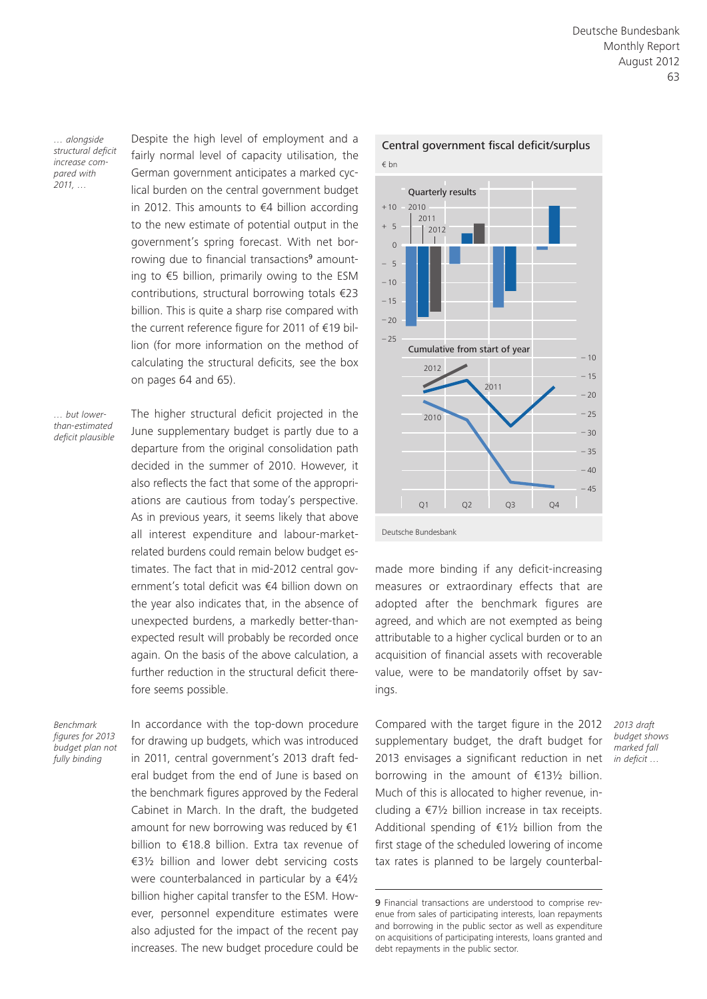*… alongside structural deficit increase compared with 2011, …*

Despite the high level of employment and a fairly normal level of capacity utilisation, the German government anticipates a marked cyclical burden on the central government budget in 2012. This amounts to €4 billion according to the new estimate of potential output in the government's spring forecast. With net borrowing due to financial transactions<sup>9</sup> amounting to €5 billion, primarily owing to the ESM contributions, structural borrowing totals €23 billion. This is quite a sharp rise compared with the current reference figure for 2011 of €19 billion (for more information on the method of calculating the structural deficits, see the box on pages 64 and 65).

*… but lowerthan-estimated deficit plausible* The higher structural deficit projected in the June supplementary budget is partly due to a departure from the original consolidation path decided in the summer of 2010. However, it also reflects the fact that some of the appropriations are cautious from today's perspective. As in previous years, it seems likely that above all interest expenditure and labour-marketrelated burdens could remain below budget estimates. The fact that in mid-2012 central government's total deficit was €4 billion down on the year also indicates that, in the absence of unexpected burdens, a markedly better-thanexpected result will probably be recorded once again. On the basis of the above calculation, a further reduction in the structural deficit therefore seems possible.

*Benchmark figures for 2013 budget plan not fully binding*

In accordance with the top-down procedure for drawing up budgets, which was introduced in 2011, central government's 2013 draft federal budget from the end of June is based on the benchmark figures approved by the Federal Cabinet in March. In the draft, the budgeted amount for new borrowing was reduced by €1 billion to €18.8 billion. Extra tax revenue of €3½ billion and lower debt servicing costs were counterbalanced in particular by a €4½ billion higher capital transfer to the ESM. However, personnel expenditure estimates were also adjusted for the impact of the recent pay increases. The new budget procedure could be



made more binding if any deficit-increasing measures or extraordinary effects that are adopted after the benchmark figures are agreed, and which are not exempted as being attributable to a higher cyclical burden or to an acquisition of financial assets with recoverable value, were to be mandatorily offset by savings.

Compared with the target figure in the 2012 supplementary budget, the draft budget for 2013 envisages a significant reduction in net borrowing in the amount of €13½ billion. Much of this is allocated to higher revenue, including a €7½ billion increase in tax receipts. Additional spending of  $£1\frac{1}{2}$  billion from the first stage of the scheduled lowering of income tax rates is planned to be largely counterbal-

*2013 draft budget shows marked fall in deficit …*

<sup>9</sup> Financial transactions are understood to comprise revenue from sales of participating interests, loan repayments and borrowing in the public sector as well as expenditure on acquisitions of participating interests, loans granted and debt repayments in the public sector.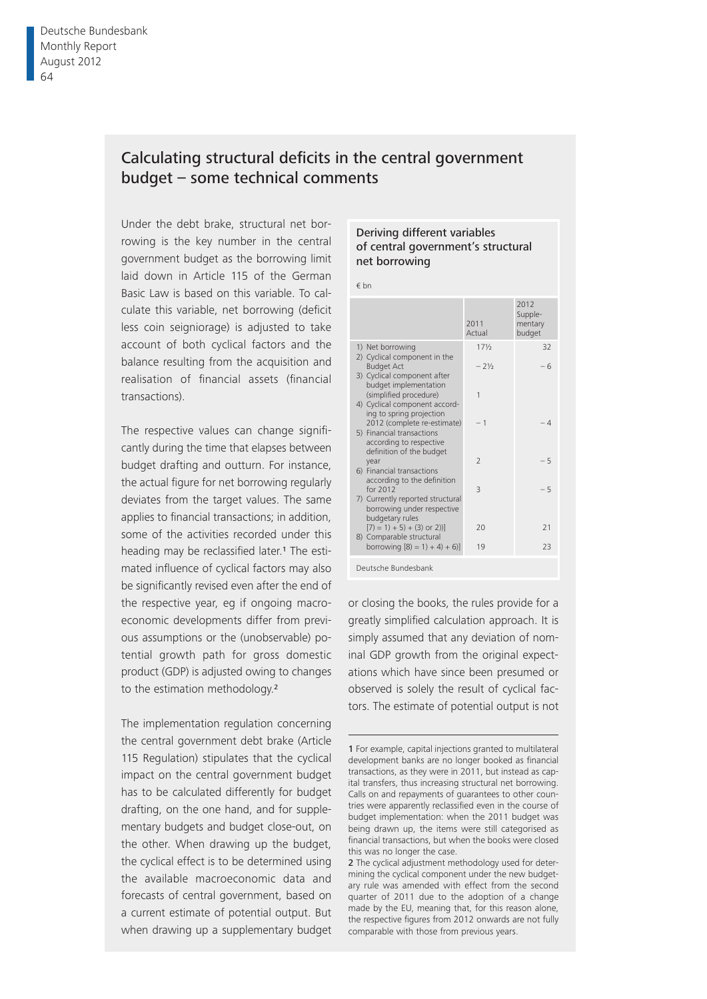# Calculating structural deficits in the central government budget – some technical comments

Under the debt brake, structural net borrowing is the key number in the central government budget as the borrowing limit laid down in Article 115 of the German Basic Law is based on this variable. To calculate this variable, net borrowing (deficit less coin seigniorage) is adjusted to take account of both cyclical factors and the balance resulting from the acquisition and realisation of financial assets (financial transactions).

The respective values can change significantly during the time that elapses between budget drafting and outturn. For instance, the actual figure for net borrowing regularly deviates from the target values. The same applies to financial transactions; in addition, some of the activities recorded under this heading may be reclassified later.<sup>1</sup> The estimated influence of cyclical factors may also be significantly revised even after the end of the respective year, eg if ongoing macroeconomic developments differ from previous assumptions or the (unobservable) potential growth path for gross domestic product (GDP) is adjusted owing to changes to the estimation methodology.<sup>2</sup>

The implementation regulation concerning the central government debt brake (Article 115 Regulation) stipulates that the cyclical impact on the central government budget has to be calculated differently for budget drafting, on the one hand, and for supplementary budgets and budget close-out, on the other. When drawing up the budget, the cyclical effect is to be determined using the available macroeconomic data and forecasts of central government, based on a current estimate of potential output. But when drawing up a supplementary budget

#### Deriving different variables of central government's structural net borrowing

€ bn

|                                                                                               | 2011<br>Actual           | 2012<br>Supple-<br>mentary<br>budget |
|-----------------------------------------------------------------------------------------------|--------------------------|--------------------------------------|
| 1) Net borrowing<br>2) Cyclical component in the                                              | $17\frac{1}{2}$          | 32                                   |
| <b>Budget Act</b>                                                                             | $-21/2$                  | - 6                                  |
| 3) Cyclical component after<br>budget implementation<br>(simplified procedure)                | 1                        |                                      |
| 4) Cyclical component accord-<br>ing to spring projection<br>2012 (complete re-estimate)      | $-1$                     | $-4$                                 |
| 5) Financial transactions<br>according to respective                                          |                          |                                      |
| definition of the budget<br>year                                                              | $\overline{\phantom{0}}$ | $-5$                                 |
| 6) Financial transactions<br>according to the definition                                      |                          |                                      |
| for 2012<br>7) Currently reported structural<br>borrowing under respective<br>budgetary rules | $\overline{\mathcal{L}}$ | $-5$                                 |
| $(7) = 1 + 5 + (3)$ or 2))<br>8) Comparable structural                                        | 20                       | 21                                   |
| borrowing $[8] = 1 + 4 + 6$ ]                                                                 | 19                       | 23                                   |
| Deutsche Bundesbank                                                                           |                          |                                      |

or closing the books, the rules provide for a greatly simplified calculation approach. It is simply assumed that any deviation of nominal GDP growth from the original expectations which have since been presumed or observed is solely the result of cyclical factors. The estimate of potential output is not

<sup>1</sup> For example, capital injections granted to multilateral development banks are no longer booked as financial transactions, as they were in 2011, but instead as capital transfers, thus increasing structural net borrowing. Calls on and repayments of guarantees to other countries were apparently reclassified even in the course of budget implementation: when the 2011 budget was being drawn up, the items were still categorised as financial transactions, but when the books were closed this was no longer the case.

<sup>2</sup> The cyclical adjustment methodology used for determining the cyclical component under the new budgetary rule was amended with effect from the second quarter of 2011 due to the adoption of a change made by the EU, meaning that, for this reason alone, the respective figures from 2012 onwards are not fully comparable with those from previous years.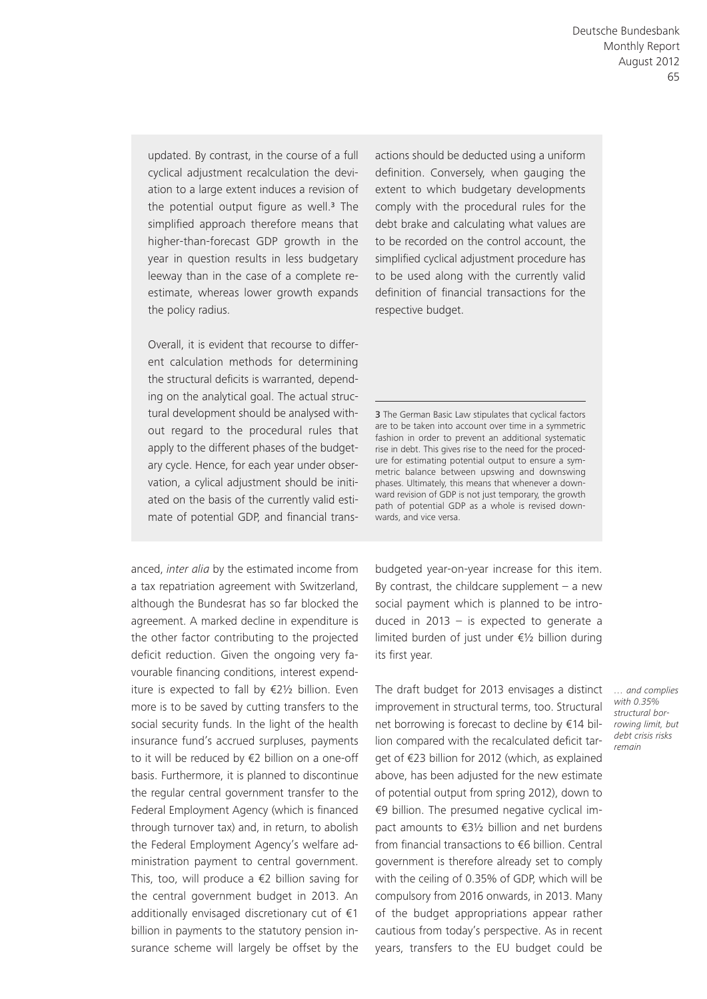updated. By contrast, in the course of a full cyclical adjustment recalculation the deviation to a large extent induces a revision of the potential output figure as well. $3$  The simplified approach therefore means that higher-than-forecast GDP growth in the year in question results in less budgetary leeway than in the case of a complete reestimate, whereas lower growth expands the policy radius.

Overall, it is evident that recourse to different calculation methods for determining the structural deficits is warranted, depending on the analytical goal. The actual structural development should be analysed without regard to the procedural rules that apply to the different phases of the budgetary cycle. Hence, for each year under observation, a cylical adjustment should be initiated on the basis of the currently valid estimate of potential GDP, and financial trans-

anced, *inter alia* by the estimated income from a tax repatriation agreement with Switzerland, although the Bundesrat has so far blocked the agreement. A marked decline in expenditure is the other factor contributing to the projected deficit reduction. Given the ongoing very favourable financing conditions, interest expenditure is expected to fall by €2½ billion. Even more is to be saved by cutting transfers to the social security funds. In the light of the health insurance fund's accrued surpluses, payments to it will be reduced by €2 billion on a one-off basis. Furthermore, it is planned to discontinue the regular central government transfer to the Federal Employment Agency (which is financed through turnover tax) and, in return, to abolish the Federal Employment Agency's welfare administration payment to central government. This, too, will produce a  $\epsilon$ 2 billion saving for the central government budget in 2013. An additionally envisaged discretionary cut of €1 billion in payments to the statutory pension insurance scheme will largely be offset by the

actions should be deducted using a uniform definition. Conversely, when gauging the extent to which budgetary developments comply with the procedural rules for the debt brake and calculating what values are to be recorded on the control account, the simplified cyclical adjustment procedure has to be used along with the currently valid definition of financial transactions for the respective budget.

3 The German Basic Law stipulates that cyclical factors are to be taken into account over time in a symmetric fashion in order to prevent an additional systematic rise in debt. This gives rise to the need for the procedure for estimating potential output to ensure a symmetric balance between upswing and downswing phases. Ultimately, this means that whenever a downward revision of GDP is not just temporary, the growth path of potential GDP as a whole is revised downwards, and vice versa.

budgeted year-on-year increase for this item. By contrast, the childcare supplement  $-$  a new social payment which is planned to be introduced in 2013  $-$  is expected to generate a limited burden of just under €½ billion during its first year.

The draft budget for 2013 envisages a distinct improvement in structural terms, too. Structural net borrowing is forecast to decline by €14 billion compared with the recalculated deficit target of €23 billion for 2012 (which, as explained above, has been adjusted for the new estimate of potential output from spring 2012), down to €9 billion. The presumed negative cyclical impact amounts to €3½ billion and net burdens from financial transactions to €6 billion. Central government is therefore already set to comply with the ceiling of 0.35% of GDP, which will be compulsory from 2016 onwards, in 2013. Many of the budget appropriations appear rather cautious from today's perspective. As in recent years, transfers to the EU budget could be

*… and complies with 0.35% structural borrowing limit, but debt crisis risks remain*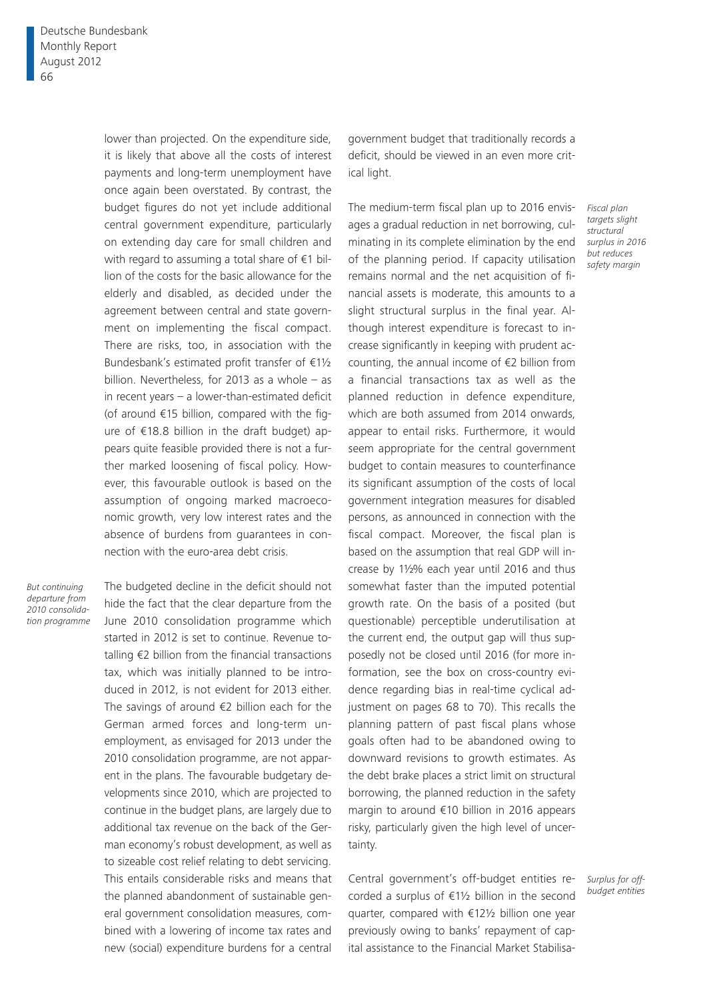lower than projected. On the expenditure side, it is likely that above all the costs of interest payments and long-term unemployment have once again been overstated. By contrast, the budget figures do not yet include additional central government expenditure, particularly on extending day care for small children and with regard to assuming a total share of €1 billion of the costs for the basic allowance for the elderly and disabled, as decided under the agreement between central and state government on implementing the fiscal compact. There are risks, too, in association with the Bundesbank's estimated profit transfer of €1½ billion. Nevertheless, for 2013 as a whole – as in recent years – a lower-than-estimated deficit (of around €15 billion, compared with the figure of €18.8 billion in the draft budget) appears quite feasible provided there is not a further marked loosening of fiscal policy. However, this favourable outlook is based on the assumption of ongoing marked macroeconomic growth, very low interest rates and the absence of burdens from guarantees in connection with the euro-area debt crisis.

*But continuing departure from 2010 consolidation programme* The budgeted decline in the deficit should not hide the fact that the clear departure from the June 2010 consolidation programme which started in 2012 is set to continue. Revenue totalling €2 billion from the financial transactions tax, which was initially planned to be introduced in 2012, is not evident for 2013 either. The savings of around €2 billion each for the German armed forces and long-term unemployment, as envisaged for 2013 under the 2010 consolidation programme, are not apparent in the plans. The favourable budgetary developments since 2010, which are projected to continue in the budget plans, are largely due to additional tax revenue on the back of the German economy's robust development, as well as to sizeable cost relief relating to debt servicing. This entails considerable risks and means that the planned abandonment of sustainable general government consolidation measures, combined with a lowering of income tax rates and new (social) expenditure burdens for a central

government budget that traditionally records a deficit, should be viewed in an even more critical light.

The medium-term fiscal plan up to 2016 envisages a gradual reduction in net borrowing, culminating in its complete elimination by the end of the planning period. If capacity utilisation remains normal and the net acquisition of financial assets is moderate, this amounts to a slight structural surplus in the final year. Although interest expenditure is forecast to increase significantly in keeping with prudent accounting, the annual income of €2 billion from a financial transactions tax as well as the planned reduction in defence expenditure, which are both assumed from 2014 onwards, appear to entail risks. Furthermore, it would seem appropriate for the central government budget to contain measures to counterfinance its significant assumption of the costs of local government integration measures for disabled persons, as announced in connection with the fiscal compact. Moreover, the fiscal plan is based on the assumption that real GDP will increase by 1½% each year until 2016 and thus somewhat faster than the imputed potential growth rate. On the basis of a posited (but questionable) perceptible underutilisation at the current end, the output gap will thus supposedly not be closed until 2016 (for more information, see the box on cross-country evidence regarding bias in real-time cyclical adjustment on pages 68 to 70). This recalls the planning pattern of past fiscal plans whose goals often had to be abandoned owing to downward revisions to growth estimates. As the debt brake places a strict limit on structural borrowing, the planned reduction in the safety margin to around €10 billion in 2016 appears risky, particularly given the high level of uncertainty.

Central government's off-budget entities recorded a surplus of €1½ billion in the second quarter, compared with €12½ billion one year previously owing to banks' repayment of capital assistance to the Financial Market Stabilisa*Fiscal plan targets slight structural surplus in 2016 but reduces safety margin*

*Surplus for offbudget entities*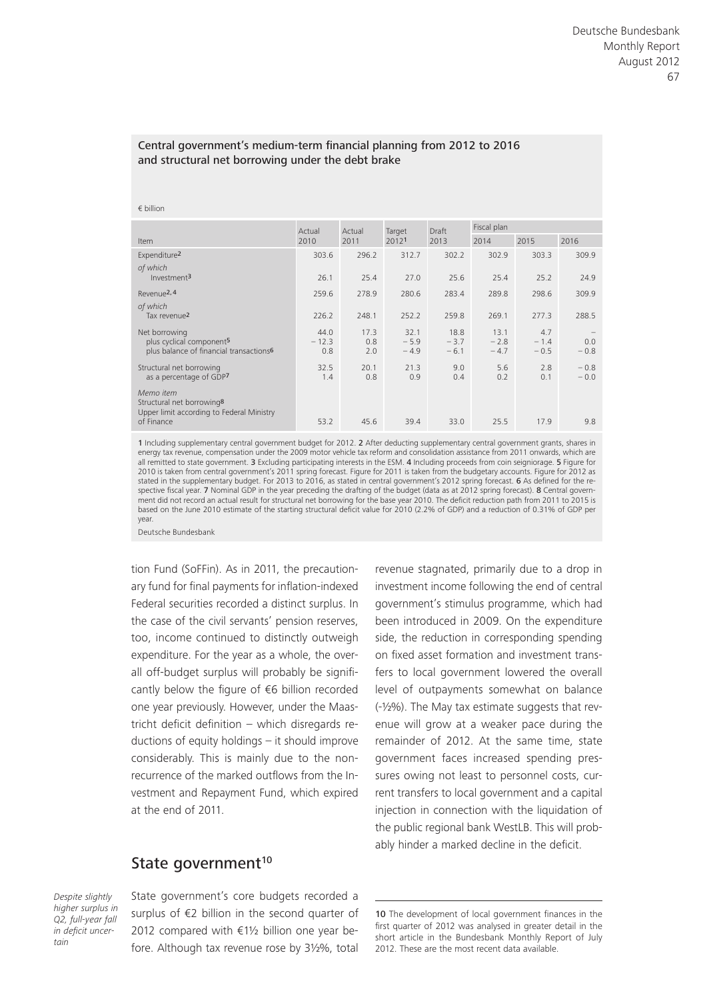#### Central government's medium-term financial planning from 2012 to 2016 and structural net borrowing under the debt brake

#### € billion

|                                                                                                               | Actual                 | Actual             | Target                   | Draft                    | Fiscal plan              |                         |                  |
|---------------------------------------------------------------------------------------------------------------|------------------------|--------------------|--------------------------|--------------------------|--------------------------|-------------------------|------------------|
| Item                                                                                                          | 2010                   | 2011               | 20121                    | 2013                     | 2014                     | 2015                    | 2016             |
| Expenditure <sup>2</sup>                                                                                      | 303.6                  | 296.2              | 312.7                    | 302.2                    | 302.9                    | 303.3                   | 309.9            |
| of which<br>Investment <sup>3</sup>                                                                           | 26.1                   | 25.4               | 27.0                     | 25.6                     | 25.4                     | 25.2                    | 24.9             |
| Revenue <sup>2, 4</sup>                                                                                       | 259.6                  | 278.9              | 280.6                    | 283.4                    | 289.8                    | 298.6                   | 309.9            |
| of which<br>Tax revenue <sup>2</sup>                                                                          | 226.2                  | 248.1              | 252.2                    | 259.8                    | 269.1                    | 277.3                   | 288.5            |
| Net borrowing<br>plus cyclical component <sup>5</sup><br>plus balance of financial transactions <sup>6</sup>  | 44.0<br>$-12.3$<br>0.8 | 17.3<br>0.8<br>2.0 | 32.1<br>$-5.9$<br>$-4.9$ | 18.8<br>$-3.7$<br>$-6.1$ | 13.1<br>$-2.8$<br>$-4.7$ | 4.7<br>$-1.4$<br>$-0.5$ | 0.0<br>$-0.8$    |
| Structural net borrowing<br>as a percentage of GDP7                                                           | 32.5<br>1.4            | 20.1<br>0.8        | 21.3<br>0.9              | 9.0<br>0.4               | 5.6<br>0.2               | 2.8<br>0.1              | $-0.8$<br>$-0.0$ |
| Memo item<br>Structural net borrowing <sup>8</sup><br>Upper limit according to Federal Ministry<br>of Finance | 53.2                   | 45.6               | 39.4                     | 33.0                     | 25.5                     | 17.9                    | 9.8              |
|                                                                                                               |                        |                    |                          |                          |                          |                         |                  |

1 Including supplementary central government budget for 2012. 2 After deducting supplementary central government grants, shares in energy tax revenue, compensation under the 2009 motor vehicle tax reform and consolidation assistance from 2011 onwards, which are all remitted to state government. 3 Excluding participating interests in the ESM. 4 Including proceeds from coin seigniorage. 5 Figure for 2010 is taken from central government's 2011 spring forecast. Figure for 2011 is taken from the budgetary accounts. Figure for 2012 as stated in the supplementary budget. For 2013 to 2016, as stated in central government's 2012 spring forecast. 6 As defined for the respective fiscal year. 7 Nominal GDP in the year preceding the drafting of the budget (data as at 2012 spring forecast). **8** Central govern-<br>ment did not record an actual result for structural net borrowing for the base yea based on the June 2010 estimate of the starting structural deficit value for 2010 (2.2% of GDP) and a reduction of 0.31% of GDP per year.

Deutsche Bundesbank

tion Fund (SoFFin). As in 2011, the precautionary fund for final payments for inflation-indexed Federal securities recorded a distinct surplus. In the case of the civil servants' pension reserves, too, income continued to distinctly outweigh expenditure. For the year as a whole, the overall off-budget surplus will probably be significantly below the figure of €6 billion recorded one year previously. However, under the Maastricht deficit definition – which disregards reductions of equity holdings – it should improve considerably. This is mainly due to the nonrecurrence of the marked outflows from the Investment and Repayment Fund, which expired at the end of 2011.

### State government<sup>10</sup>

*Despite slightly higher surplus in Q2, full-year fall in deficit uncertain*

State government's core budgets recorded a surplus of €2 billion in the second quarter of 2012 compared with €1½ billion one year before. Although tax revenue rose by 3½%, total revenue stagnated, primarily due to a drop in investment income following the end of central government's stimulus programme, which had been introduced in 2009. On the expenditure side, the reduction in corresponding spending on fixed asset formation and investment transfers to local government lowered the overall level of outpayments somewhat on balance (-½%). The May tax estimate suggests that revenue will grow at a weaker pace during the remainder of 2012. At the same time, state government faces increased spending pressures owing not least to personnel costs, current transfers to local government and a capital injection in connection with the liquidation of the public regional bank WestLB. This will probably hinder a marked decline in the deficit.

<sup>10</sup> The development of local government finances in the first quarter of 2012 was analysed in greater detail in the short article in the Bundesbank Monthly Report of July 2012. These are the most recent data available.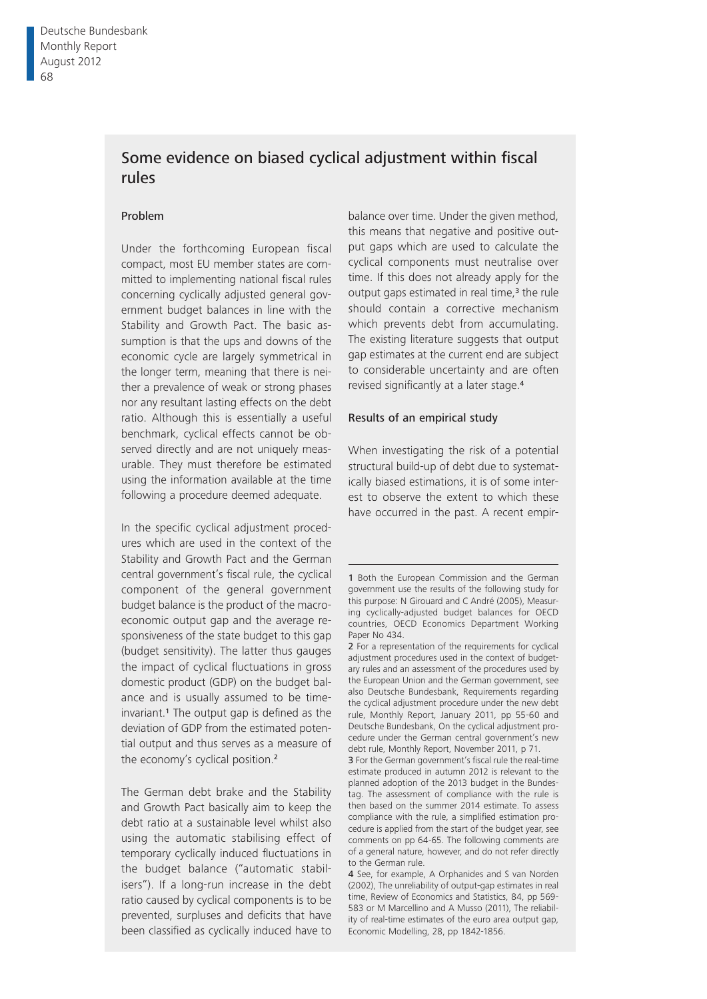# Some evidence on biased cyclical adjustment within fiscal rules

#### Problem

Under the forthcoming European fiscal compact, most EU member states are committed to implementing national fiscal rules concerning cyclically adjusted general government budget balances in line with the Stability and Growth Pact. The basic assumption is that the ups and downs of the economic cycle are largely symmetrical in the longer term, meaning that there is neither a prevalence of weak or strong phases nor any resultant lasting effects on the debt ratio. Although this is essentially a useful benchmark, cyclical effects cannot be observed directly and are not uniquely measurable. They must therefore be estimated using the information available at the time following a procedure deemed adequate.

In the specific cyclical adjustment procedures which are used in the context of the Stability and Growth Pact and the German central government's fiscal rule, the cyclical component of the general government budget balance is the product of the macroeconomic output gap and the average responsiveness of the state budget to this gap (budget sensitivity). The latter thus gauges the impact of cyclical fluctuations in gross domestic product (GDP) on the budget balance and is usually assumed to be time $invariant<sup>1</sup>$ . The output gap is defined as the deviation of GDP from the estimated potential output and thus serves as a measure of the economy's cyclical position.<sup>2</sup>

The German debt brake and the Stability and Growth Pact basically aim to keep the debt ratio at a sustainable level whilst also using the automatic stabilising effect of temporary cyclically induced fluctuations in the budget balance ("automatic stabilisers"). If a long-run increase in the debt ratio caused by cyclical components is to be prevented, surpluses and deficits that have been classified as cyclically induced have to

balance over time. Under the given method, this means that negative and positive output gaps which are used to calculate the cyclical components must neutralise over time. If this does not already apply for the output gaps estimated in real time,<sup>3</sup> the rule should contain a corrective mechanism which prevents debt from accumulating. The existing literature suggests that output gap estimates at the current end are subject to considerable uncertainty and are often revised significantly at a later stage.<sup>4</sup>

#### Results of an empirical study

When investigating the risk of a potential structural build-up of debt due to systematically biased estimations, it is of some interest to observe the extent to which these have occurred in the past. A recent empir-

3 For the German government's fiscal rule the real-time estimate produced in autumn 2012 is relevant to the planned adoption of the 2013 budget in the Bundestag. The assessment of compliance with the rule is then based on the summer 2014 estimate. To assess compliance with the rule, a simplified estimation procedure is applied from the start of the budget year, see comments on pp 64-65. The following comments are of a general nature, however, and do not refer directly to the German rule.

4 See, for example, A Orphanides and S van Norden (2002), The unreliability of output-gap estimates in real time, Review of Economics and Statistics, 84, pp 569- 583 or M Marcellino and A Musso (2011), The reliability of real-time estimates of the euro area output gap, Economic Modelling, 28, pp 1842-1856.

<sup>1</sup> Both the European Commission and the German government use the results of the following study for this purpose: N Girouard and C André (2005), Measuring cyclically-adjusted budget balances for OECD countries, OECD Economics Department Working Paper No 434.

<sup>2</sup> For a representation of the requirements for cyclical adjustment procedures used in the context of budgetary rules and an assessment of the procedures used by the European Union and the German government, see also Deutsche Bundesbank, Requirements regarding the cyclical adjustment procedure under the new debt rule, Monthly Report, January 2011, pp 55-60 and Deutsche Bundesbank, On the cyclical adjustment procedure under the German central government's new debt rule, Monthly Report, November 2011, p 71.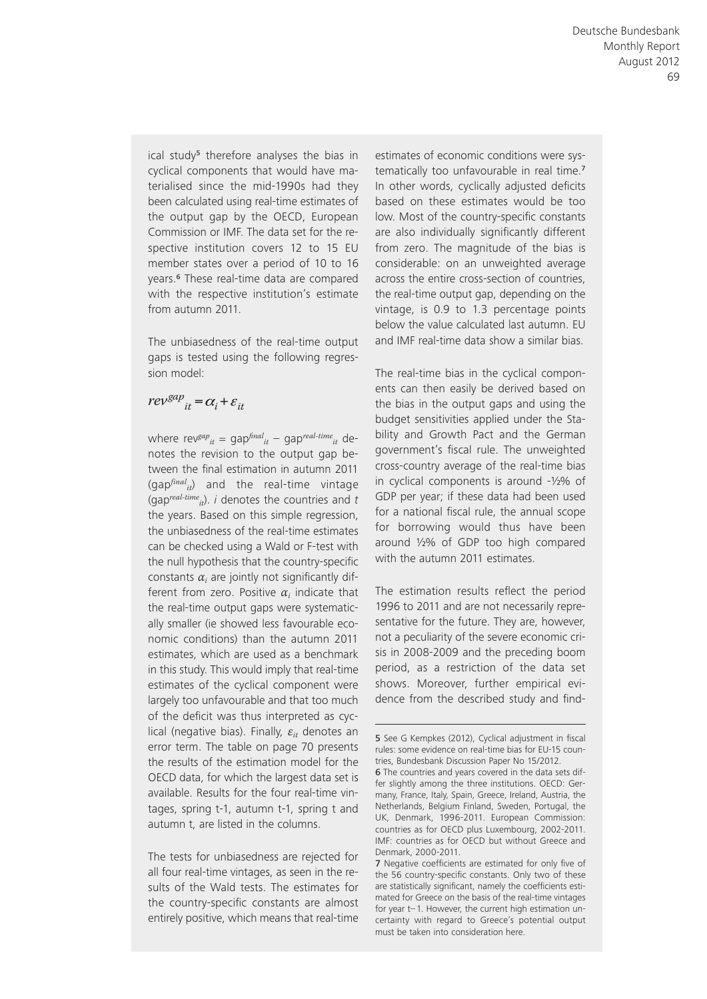ical study<sup>5</sup> therefore analyses the bias in cyclical components that would have materialised since the mid-1990s had they been calculated using real-time estimates of the output gap by the OECD, European Commission or IMF. The data set for the respective institution covers 12 to 15 EU member states over a period of 10 to 16 years.6 These real-time data are compared with the respective institution's estimate from autumn 2011.

The unbiasedness of the real-time output gaps is tested using the following regression model:

# $re{v}^{gap}_{it} = \alpha_i + \varepsilon_{it}$

where rev<sup>gap</sup><sub>it</sub> = gap<sup> $final$ </sup><sub>it</sub> – gap<sup>real-time</sup><sub>it</sub> denotes the revision to the output gap between the final estimation in autumn 2011  $(qap<sup>final</sup><sub>it</sub>)$  and the real-time vintage (gap<sup>real-time<sub>it</sub>). *i* denotes the countries and *t*</sup> the years. Based on this simple regression, the unbiasedness of the real-time estimates can be checked using a Wald or F-test with the null hypothesis that the country-specific constants  $\alpha_i$  are jointly not significantly different from zero. Positive *αi* indicate that the real-time output gaps were systematically smaller (ie showed less favourable economic conditions) than the autumn 2011 estimates, which are used as a benchmark in this study. This would imply that real-time estimates of the cyclical component were largely too unfavourable and that too much of the deficit was thus interpreted as cyclical (negative bias). Finally, *εit* denotes an error term. The table on page 70 presents the results of the estimation model for the OECD data, for which the largest data set is available. Results for the four real-time vintages, spring t-1, autumn t-1, spring t and autumn t, are listed in the columns.

The tests for unbiasedness are rejected for all four real-time vintages, as seen in the results of the Wald tests. The estimates for the country-specific constants are almost entirely positive, which means that real-time estimates of economic conditions were systematically too unfavourable in real time.<sup>7</sup> In other words, cyclically adjusted deficits based on these estimates would be too low. Most of the country-specific constants are also individually significantly different from zero. The magnitude of the bias is considerable: on an unweighted average across the entire cross-section of countries, the real-time output gap, depending on the vintage, is 0.9 to 1.3 percentage points below the value calculated last autumn. EU and IMF real-time data show a similar bias.

The real-time bias in the cyclical components can then easily be derived based on the bias in the output gaps and using the budget sensitivities applied under the Stability and Growth Pact and the German government's fiscal rule. The unweighted cross-country average of the real-time bias in cyclical components is around -½% of GDP per year; if these data had been used for a national fiscal rule, the annual scope for borrowing would thus have been around ½% of GDP too high compared with the autumn 2011 estimates.

The estimation results reflect the period 1996 to 2011 and are not necessarily representative for the future. They are, however, not a peculiarity of the severe economic crisis in 2008-2009 and the preceding boom period, as a restriction of the data set shows. Moreover, further empirical evidence from the described study and find-

<sup>5</sup> See G Kempkes (2012), Cyclical adjustment in fiscal rules: some evidence on real-time bias for EU-15 countries, Bundesbank Discussion Paper No 15/2012.

<sup>6</sup> The countries and years covered in the data sets differ slightly among the three institutions. OECD: Germany, France, Italy, Spain, Greece, Ireland, Austria, the Netherlands, Belgium Finland, Sweden, Portugal, the UK, Denmark, 1996-2011. European Commission: countries as for OECD plus Luxembourg, 2002-2011. IMF: countries as for OECD but without Greece and Denmark, 2000-2011.

<sup>7</sup> Negative coefficients are estimated for only five of the 56 country-specific constants. Only two of these are statistically significant, namely the coefficients estimated for Greece on the basis of the real-time vintages for year t– 1. However, the current high estimation uncertainty with regard to Greece's potential output must be taken into consideration here.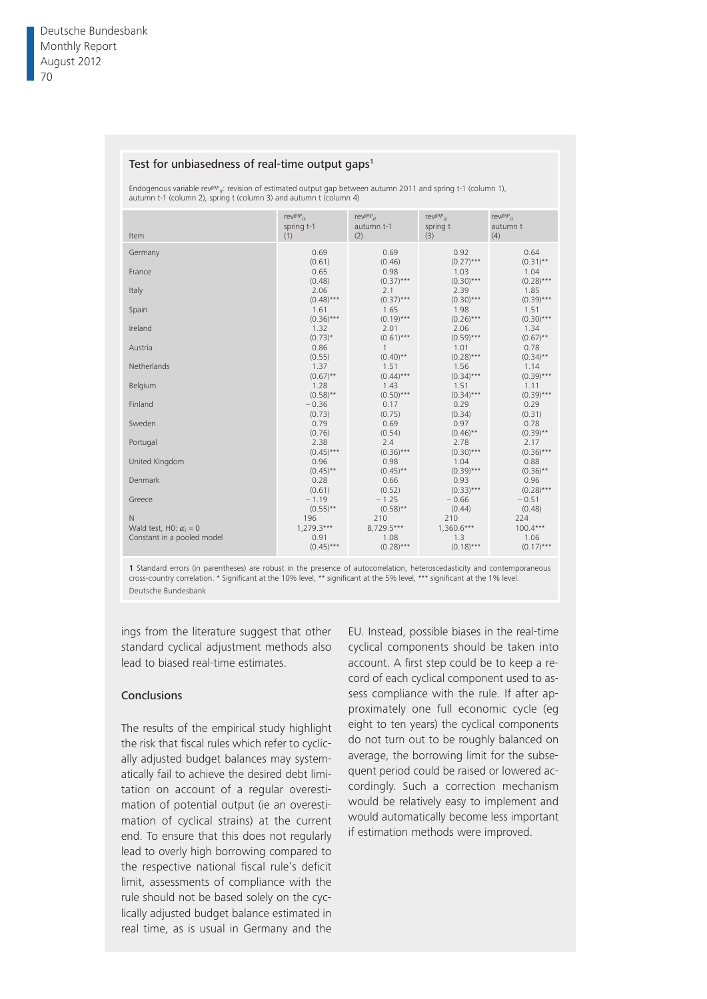#### Test for unbiasedness of real-time output gaps<sup>1</sup>

Endogenous variable rev<sup>gap</sup><sub>it</sub>: revision of estimated output gap between autumn 2011 and spring t-1 (column 1), autumn t-1 (column 2), spring t (column 3) and autumn t (column 4)

| Item                                                        | rev <sup>gap</sup> <sub>it</sub>    | rev <sup>gap</sup> <sub>it</sub>  | rev $gap_{it}$                      | rev $gap_{it}$                     |
|-------------------------------------------------------------|-------------------------------------|-----------------------------------|-------------------------------------|------------------------------------|
|                                                             | spring t-1                          | autumn t-1                        | spring t                            | autumn t                           |
|                                                             | (1)                                 | (2)                               | (3)                                 | (4)                                |
| Germany                                                     | 0.69                                | 0.69                              | 0.92                                | 0.64                               |
|                                                             | (0.61)                              | (0.46)                            | $(0.27)$ ***                        | $(0.31)$ **                        |
| France                                                      | 0.65                                | 0.98                              | 1.03                                | 1.04                               |
|                                                             | (0.48)                              | $(0.37)***$                       | $(0.30)$ ***                        | $(0.28)***$                        |
| Italy                                                       | 2.06                                | 2.1                               | 2.39                                | 1.85                               |
|                                                             | $(0.48)***$                         | $(0.37)***$                       | $(0.30)$ ***                        | $(0.39)***$                        |
| Spain                                                       | 1.61                                | 1.65                              | 1.98                                | 1.51                               |
| Ireland                                                     | $(0.36)***$                         | $(0.19)***$                       | $(0.26)$ ***                        | $(0.30)***$                        |
|                                                             | 1.32                                | 2.01                              | 2.06                                | 1.34                               |
| Austria                                                     | $(0.73)*$                           | $(0.61)***$                       | $(0.59)***$                         | $(0.67)$ **                        |
|                                                             | 0.86                                | $\mathbf{1}$                      | 1.01                                | 0.78                               |
| Netherlands                                                 | (0.55)                              | $(0.40)$ **                       | $(0.28)$ ***                        | $(0.34)$ **                        |
|                                                             | 1.37                                | 1.51                              | 1.56                                | 1.14                               |
| Belgium                                                     | $(0.67)$ **                         | $(0.44)$ ***                      | $(0.34)***$                         | $(0.39)***$                        |
|                                                             | 1.28                                | 1.43                              | 1.51                                | 1.11                               |
| Finland                                                     | $(0.58)$ **                         | $(0.50)***$                       | $(0.34)***$                         | $(0.39)***$                        |
|                                                             | $-0.36$                             | 0.17                              | 0.29                                | 0.29                               |
| Sweden                                                      | (0.73)                              | (0.75)                            | (0.34)                              | (0.31)                             |
|                                                             | 0.79                                | 0.69                              | 0.97                                | 0.78                               |
| Portugal                                                    | (0.76)                              | (0.54)                            | $(0.46)$ **                         | $(0.39)$ **                        |
|                                                             | 2.38                                | 2.4                               | 2.78                                | 2.17                               |
| United Kingdom                                              | $(0.45)$ ***                        | $(0.36)***$                       | $(0.30)$ ***                        | $(0.36)***$                        |
|                                                             | 0.96                                | 0.98                              | 1.04                                | 0.88                               |
| Denmark                                                     | $(0.45)$ **                         | $(0.45)$ **                       | $(0.39)$ ***                        | $(0.36)$ **                        |
|                                                             | 0.28                                | 0.66                              | 0.93                                | 0.96                               |
| Greece                                                      | (0.61)                              | (0.52)                            | $(0.33)***$                         | $(0.28)***$                        |
|                                                             | $-1.19$                             | $-1.25$                           | $-0.66$                             | $-0.51$                            |
| $\mathsf{N}$                                                | $(0.55)$ **                         | $(0.58)$ **                       | (0.44)                              | (0.48)                             |
|                                                             | 196                                 | 210                               | 210                                 | 224                                |
| Wald test, H0: $\alpha_i = 0$<br>Constant in a pooled model | $1,279.3***$<br>0.91<br>$(0.45)***$ | 8,729.5***<br>1.08<br>$(0.28)***$ | $1,360.6***$<br>1.3<br>$(0.18)$ *** | $100.4***$<br>1.06<br>$(0.17)$ *** |

1 Standard errors (in parentheses) are robust in the presence of autocorrelation, heteroscedasticity and contemporaneous<br>cross-country correlation. \* Significant at the 10% level, \*\* significant at the 5% level, \*\*\* signif Deutsche Bundesbank

ings from the literature suggest that other standard cyclical adjustment methods also lead to biased real-time estimates.

#### Conclusions

The results of the empirical study highlight the risk that fiscal rules which refer to cyclically adjusted budget balances may systematically fail to achieve the desired debt limitation on account of a regular overestimation of potential output (ie an overestimation of cyclical strains) at the current end. To ensure that this does not regularly lead to overly high borrowing compared to the respective national fiscal rule's deficit limit, assessments of compliance with the rule should not be based solely on the cyclically adjusted budget balance estimated in real time, as is usual in Germany and the

EU. Instead, possible biases in the real-time cyclical components should be taken into account. A first step could be to keep a record of each cyclical component used to assess compliance with the rule. If after approximately one full economic cycle (eg eight to ten years) the cyclical components do not turn out to be roughly balanced on average, the borrowing limit for the subsequent period could be raised or lowered accordingly. Such a correction mechanism would be relatively easy to implement and would automatically become less important if estimation methods were improved.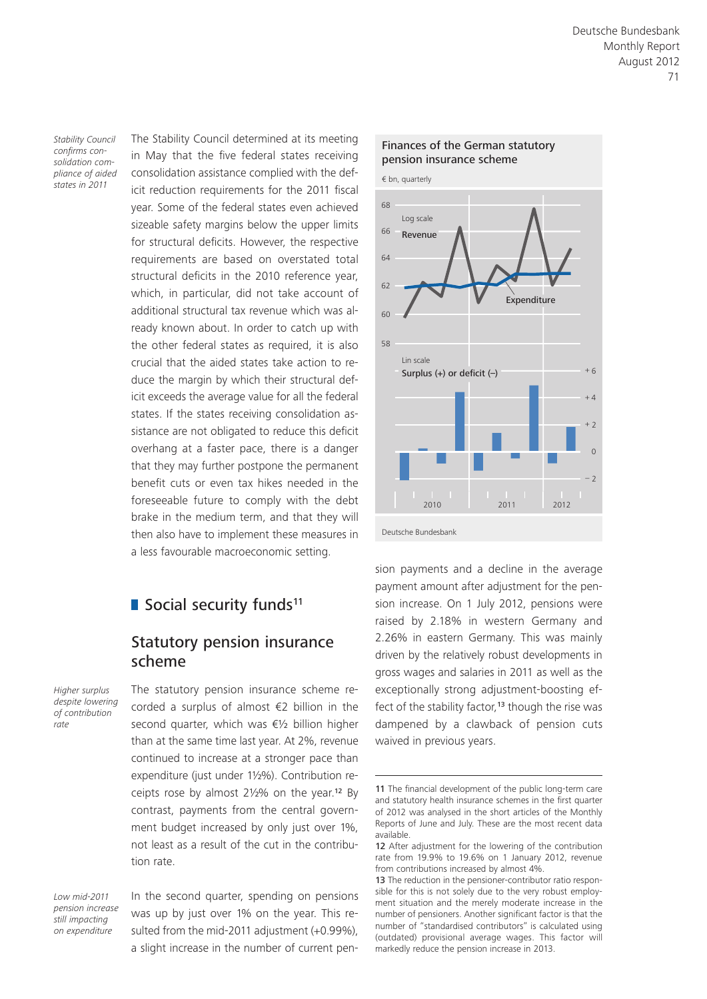*Stability Council confirms consolidation compliance of aided states in 2011*

The Stability Council determined at its meeting in May that the five federal states receiving consolidation assistance complied with the deficit reduction requirements for the 2011 fiscal year. Some of the federal states even achieved sizeable safety margins below the upper limits for structural deficits. However, the respective requirements are based on overstated total structural deficits in the 2010 reference year, which, in particular, did not take account of additional structural tax revenue which was already known about. In order to catch up with the other federal states as required, it is also crucial that the aided states take action to reduce the margin by which their structural deficit exceeds the average value for all the federal states. If the states receiving consolidation assistance are not obligated to reduce this deficit overhang at a faster pace, there is a danger that they may further postpone the permanent benefit cuts or even tax hikes needed in the foreseeable future to comply with the debt brake in the medium term, and that they will then also have to implement these measures in a less favourable macroeconomic setting.

# Social security funds<sup>11</sup>

### Statutory pension insurance scheme

*Higher surplus despite lowering of contribution rate*

The statutory pension insurance scheme recorded a surplus of almost €2 billion in the second quarter, which was €½ billion higher than at the same time last year. At 2%, revenue continued to increase at a stronger pace than expenditure (just under 1½%). Contribution receipts rose by almost 2½% on the year.12 By contrast, payments from the central government budget increased by only just over 1%, not least as a result of the cut in the contribution rate.

*Low mid-2011 pension increase still impacting on expenditure*

In the second quarter, spending on pensions was up by just over 1% on the year. This resulted from the mid-2011 adjustment (+0.99%), a slight increase in the number of current pen-



sion payments and a decline in the average payment amount after adjustment for the pension increase. On 1 July 2012, pensions were raised by 2.18% in western Germany and 2.26% in eastern Germany. This was mainly driven by the relatively robust developments in gross wages and salaries in 2011 as well as the exceptionally strong adjustment-boosting effect of the stability factor,<sup>13</sup> though the rise was dampened by a clawback of pension cuts waived in previous years.

<sup>11</sup> The financial development of the public long-term care and statutory health insurance schemes in the first quarter of 2012 was analysed in the short articles of the Monthly Reports of June and July. These are the most recent data available.

<sup>12</sup> After adjustment for the lowering of the contribution rate from 19.9% to 19.6% on 1 January 2012, revenue from contributions increased by almost 4%.

<sup>13</sup> The reduction in the pensioner-contributor ratio responsible for this is not solely due to the very robust employment situation and the merely moderate increase in the number of pensioners. Another significant factor is that the number of "standardised contributors" is calculated using (outdated) provisional average wages. This factor will markedly reduce the pension increase in 2013.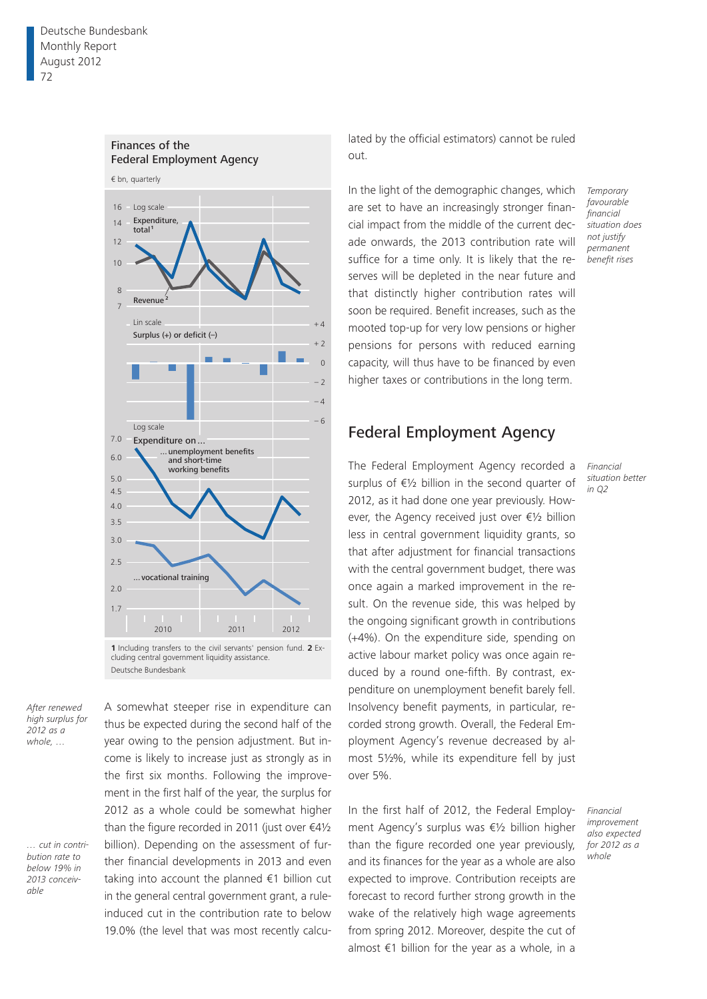

Finances of the

lated by the official estimators) cannot be ruled out.

In the light of the demographic changes, which are set to have an increasingly stronger financial impact from the middle of the current decade onwards, the 2013 contribution rate will suffice for a time only. It is likely that the reserves will be depleted in the near future and that distinctly higher contribution rates will soon be required. Benefit increases, such as the mooted top-up for very low pensions or higher pensions for persons with reduced earning capacity, will thus have to be financed by even higher taxes or contributions in the long term.

*Temporary favourable financial situation does not justify permanent benefit rises*

# Federal Employment Agency

The Federal Employment Agency recorded a surplus of €½ billion in the second quarter of 2012, as it had done one year previously. However, the Agency received just over €½ billion less in central government liquidity grants, so that after adjustment for financial transactions with the central government budget, there was once again a marked improvement in the result. On the revenue side, this was helped by the ongoing significant growth in contributions (+4%). On the expenditure side, spending on active labour market policy was once again reduced by a round one-fifth. By contrast, expenditure on unemployment benefit barely fell. Insolvency benefit payments, in particular, recorded strong growth. Overall, the Federal Employment Agency's revenue decreased by almost 5½%, while its expenditure fell by just over 5%.

In the first half of 2012, the Federal Employment Agency's surplus was €½ billion higher than the figure recorded one year previously, and its finances for the year as a whole are also expected to improve. Contribution receipts are forecast to record further strong growth in the wake of the relatively high wage agreements from spring 2012. Moreover, despite the cut of almost €1 billion for the year as a whole, in a

*Financial situation better in Q2*

*Financial improvement also expected for 2012 as a whole*

*After renewed high surplus for 2012 as a whole, …*

*… cut in contribution rate to below 19% in 2013 conceivable*

A somewhat steeper rise in expenditure can thus be expected during the second half of the year owing to the pension adjustment. But income is likely to increase just as strongly as in the first six months. Following the improvement in the first half of the year, the surplus for 2012 as a whole could be somewhat higher than the figure recorded in 2011 (just over  $\epsilon 4\frac{1}{2}$ billion). Depending on the assessment of further financial developments in 2013 and even taking into account the planned €1 billion cut in the general central government grant, a ruleinduced cut in the contribution rate to below 19.0% (the level that was most recently calcu-

Deutsche Bundesbank